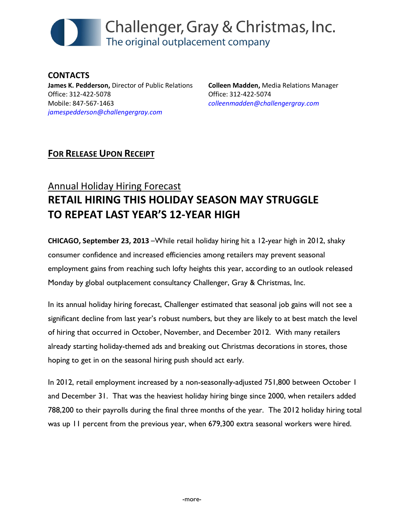

CONTACTS James K. Pedderson, Director of Public Relations Office: 312-422-5078 Mobile: 847-567-1463 jamespedderson@challengergray.com

Colleen Madden, Media Relations Manager Office: 312-422-5074 colleenmadden@challengergray.com

## FOR RELEASE UPON RECEIPT

## Annual Holiday Hiring Forecast RETAIL HIRING THIS HOLIDAY SEASON MAY STRUGGLE TO REPEAT LAST YEAR'S 12-YEAR HIGH

CHICAGO, September 23, 2013 –While retail holiday hiring hit a 12-year high in 2012, shaky consumer confidence and increased efficiencies among retailers may prevent seasonal employment gains from reaching such lofty heights this year, according to an outlook released Monday by global outplacement consultancy Challenger, Gray & Christmas, Inc.

In its annual holiday hiring forecast, Challenger estimated that seasonal job gains will not see a significant decline from last year's robust numbers, but they are likely to at best match the level of hiring that occurred in October, November, and December 2012. With many retailers already starting holiday-themed ads and breaking out Christmas decorations in stores, those hoping to get in on the seasonal hiring push should act early.

In 2012, retail employment increased by a non-seasonally-adjusted 751,800 between October 1 and December 31. That was the heaviest holiday hiring binge since 2000, when retailers added 788,200 to their payrolls during the final three months of the year. The 2012 holiday hiring total was up 11 percent from the previous year, when 679,300 extra seasonal workers were hired.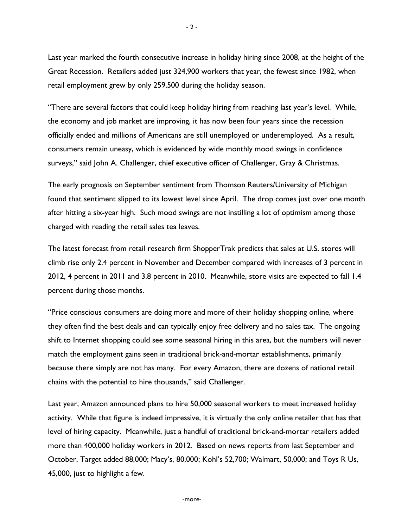Last year marked the fourth consecutive increase in holiday hiring since 2008, at the height of the Great Recession. Retailers added just 324,900 workers that year, the fewest since 1982, when retail employment grew by only 259,500 during the holiday season.

"There are several factors that could keep holiday hiring from reaching last year's level. While, the economy and job market are improving, it has now been four years since the recession officially ended and millions of Americans are still unemployed or underemployed. As a result, consumers remain uneasy, which is evidenced by wide monthly mood swings in confidence surveys," said John A. Challenger, chief executive officer of Challenger, Gray & Christmas.

The early prognosis on September sentiment from Thomson Reuters/University of Michigan found that sentiment slipped to its lowest level since April. The drop comes just over one month after hitting a six-year high. Such mood swings are not instilling a lot of optimism among those charged with reading the retail sales tea leaves.

The latest forecast from retail research firm ShopperTrak predicts that sales at U.S. stores will climb rise only 2.4 percent in November and December compared with increases of 3 percent in 2012, 4 percent in 2011 and 3.8 percent in 2010. Meanwhile, store visits are expected to fall 1.4 percent during those months.

"Price conscious consumers are doing more and more of their holiday shopping online, where they often find the best deals and can typically enjoy free delivery and no sales tax. The ongoing shift to Internet shopping could see some seasonal hiring in this area, but the numbers will never match the employment gains seen in traditional brick-and-mortar establishments, primarily because there simply are not has many. For every Amazon, there are dozens of national retail chains with the potential to hire thousands," said Challenger.

Last year, Amazon announced plans to hire 50,000 seasonal workers to meet increased holiday activity. While that figure is indeed impressive, it is virtually the only online retailer that has that level of hiring capacity. Meanwhile, just a handful of traditional brick-and-mortar retailers added more than 400,000 holiday workers in 2012. Based on news reports from last September and October, Target added 88,000; Macy's, 80,000; Kohl's 52,700; Walmart, 50,000; and Toys R Us, 45,000, just to highlight a few.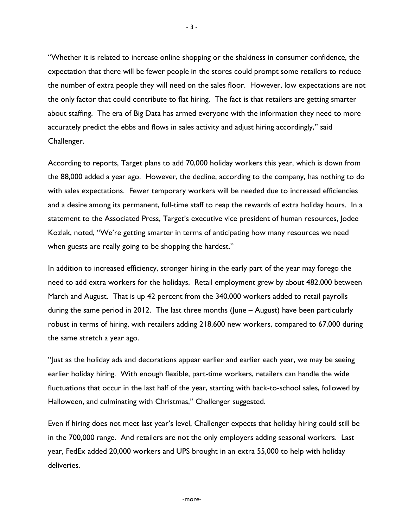"Whether it is related to increase online shopping or the shakiness in consumer confidence, the expectation that there will be fewer people in the stores could prompt some retailers to reduce the number of extra people they will need on the sales floor. However, low expectations are not the only factor that could contribute to flat hiring. The fact is that retailers are getting smarter about staffing. The era of Big Data has armed everyone with the information they need to more accurately predict the ebbs and flows in sales activity and adjust hiring accordingly," said Challenger.

According to reports, Target plans to add 70,000 holiday workers this year, which is down from the 88,000 added a year ago. However, the decline, according to the company, has nothing to do with sales expectations. Fewer temporary workers will be needed due to increased efficiencies and a desire among its permanent, full-time staff to reap the rewards of extra holiday hours. In a statement to the Associated Press, Target's executive vice president of human resources, Jodee Kozlak, noted, "We're getting smarter in terms of anticipating how many resources we need when guests are really going to be shopping the hardest."

In addition to increased efficiency, stronger hiring in the early part of the year may forego the need to add extra workers for the holidays. Retail employment grew by about 482,000 between March and August. That is up 42 percent from the 340,000 workers added to retail payrolls during the same period in 2012. The last three months (June – August) have been particularly robust in terms of hiring, with retailers adding 218,600 new workers, compared to 67,000 during the same stretch a year ago.

"Just as the holiday ads and decorations appear earlier and earlier each year, we may be seeing earlier holiday hiring. With enough flexible, part-time workers, retailers can handle the wide fluctuations that occur in the last half of the year, starting with back-to-school sales, followed by Halloween, and culminating with Christmas," Challenger suggested.

Even if hiring does not meet last year's level, Challenger expects that holiday hiring could still be in the 700,000 range. And retailers are not the only employers adding seasonal workers. Last year, FedEx added 20,000 workers and UPS brought in an extra 55,000 to help with holiday deliveries.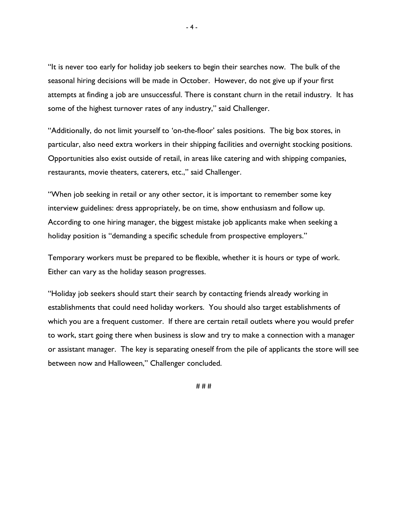"It is never too early for holiday job seekers to begin their searches now. The bulk of the seasonal hiring decisions will be made in October. However, do not give up if your first attempts at finding a job are unsuccessful. There is constant churn in the retail industry. It has some of the highest turnover rates of any industry," said Challenger.

"Additionally, do not limit yourself to 'on-the-floor' sales positions. The big box stores, in particular, also need extra workers in their shipping facilities and overnight stocking positions. Opportunities also exist outside of retail, in areas like catering and with shipping companies, restaurants, movie theaters, caterers, etc.," said Challenger.

"When job seeking in retail or any other sector, it is important to remember some key interview guidelines: dress appropriately, be on time, show enthusiasm and follow up. According to one hiring manager, the biggest mistake job applicants make when seeking a holiday position is "demanding a specific schedule from prospective employers."

Temporary workers must be prepared to be flexible, whether it is hours or type of work. Either can vary as the holiday season progresses.

"Holiday job seekers should start their search by contacting friends already working in establishments that could need holiday workers. You should also target establishments of which you are a frequent customer. If there are certain retail outlets where you would prefer to work, start going there when business is slow and try to make a connection with a manager or assistant manager. The key is separating oneself from the pile of applicants the store will see between now and Halloween," Challenger concluded.

# # #